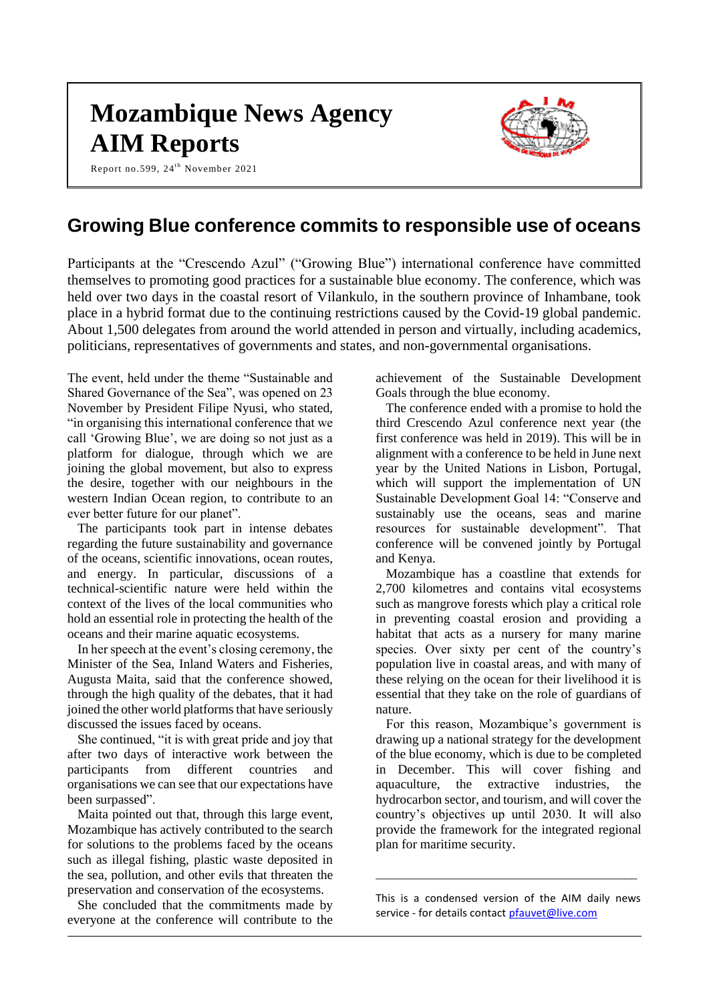# **Mozambique News Agency AIM Reports**

Report no.599, 24<sup>th</sup> November 2021



# **Growing Blue conference commits to responsible use of oceans**

Participants at the "Crescendo Azul" ("Growing Blue") international conference have committed themselves to promoting good practices for a sustainable blue economy. The conference, which was held over two days in the coastal resort of Vilankulo, in the southern province of Inhambane, took place in a hybrid format due to the continuing restrictions caused by the Covid-19 global pandemic. About 1,500 delegates from around the world attended in person and virtually, including academics, politicians, representatives of governments and states, and non-governmental organisations.

The event, held under the theme "Sustainable and Shared Governance of the Sea", was opened on 23 November by President Filipe Nyusi, who stated, "in organising this international conference that we call 'Growing Blue', we are doing so not just as a platform for dialogue, through which we are joining the global movement, but also to express the desire, together with our neighbours in the western Indian Ocean region, to contribute to an ever better future for our planet".

The participants took part in intense debates regarding the future sustainability and governance of the oceans, scientific innovations, ocean routes, and energy. In particular, discussions of a technical-scientific nature were held within the context of the lives of the local communities who hold an essential role in protecting the health of the oceans and their marine aquatic ecosystems.

In her speech at the event's closing ceremony, the Minister of the Sea, Inland Waters and Fisheries, Augusta Maita, said that the conference showed, through the high quality of the debates, that it had joined the other world platforms that have seriously discussed the issues faced by oceans.

She continued, "it is with great pride and joy that after two days of interactive work between the participants from different countries and organisations we can see that our expectations have been surpassed".

Maita pointed out that, through this large event, Mozambique has actively contributed to the search for solutions to the problems faced by the oceans such as illegal fishing, plastic waste deposited in the sea, pollution, and other evils that threaten the preservation and conservation of the ecosystems.

She concluded that the commitments made by everyone at the conference will contribute to the achievement of the Sustainable Development Goals through the blue economy.

The conference ended with a promise to hold the third Crescendo Azul conference next year (the first conference was held in 2019). This will be in alignment with a conference to be held in June next year by the United Nations in Lisbon, Portugal, which will support the implementation of UN Sustainable Development Goal 14: "Conserve and sustainably use the oceans, seas and marine resources for sustainable development". That conference will be convened jointly by Portugal and Kenya.

Mozambique has a coastline that extends for 2,700 kilometres and contains vital ecosystems such as mangrove forests which play a critical role in preventing coastal erosion and providing a habitat that acts as a nursery for many marine species. Over sixty per cent of the country's population live in coastal areas, and with many of these relying on the ocean for their livelihood it is essential that they take on the role of guardians of nature.

For this reason, Mozambique's government is drawing up a national strategy for the development of the blue economy, which is due to be completed in December. This will cover fishing and aquaculture, the extractive industries, the hydrocarbon sector, and tourism, and will cover the country's objectives up until 2030. It will also provide the framework for the integrated regional plan for maritime security.

This is a condensed version of the AIM daily news service - for details contac[t pfauvet@live.com](mailto:pfauvet@live.com)

\_\_\_\_\_\_\_\_\_\_\_\_\_\_\_\_\_\_\_\_\_\_\_\_\_\_\_\_\_\_\_\_\_\_\_\_\_\_\_\_\_\_\_\_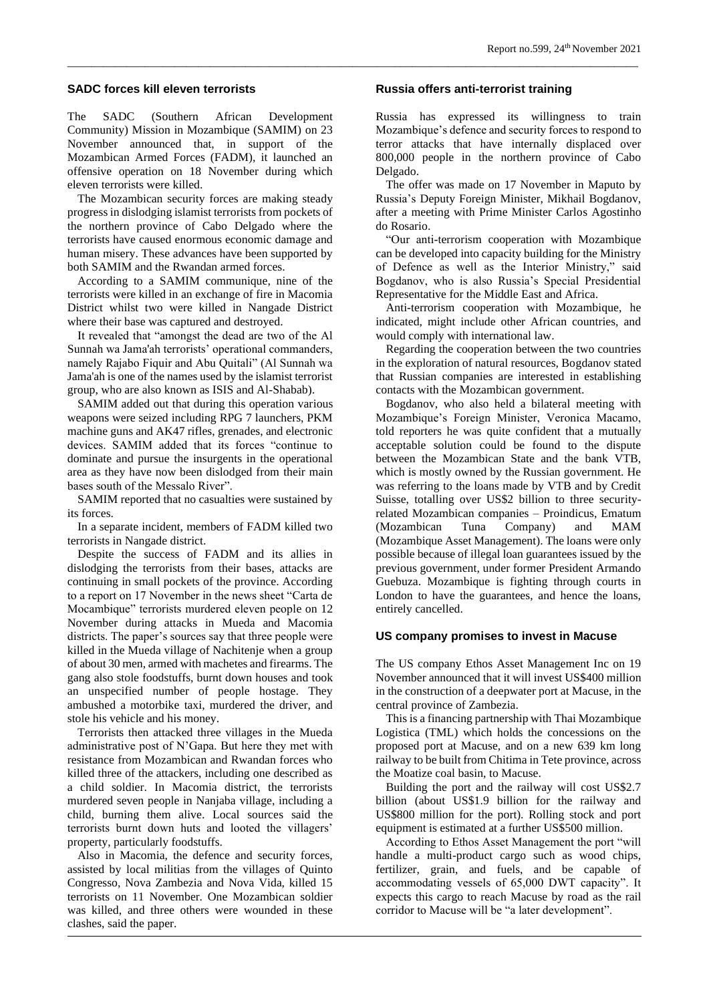#### **SADC forces kill eleven terrorists**

The SADC (Southern African Development Community) Mission in Mozambique (SAMIM) on 23 November announced that, in support of the Mozambican Armed Forces (FADM), it launched an offensive operation on 18 November during which eleven terrorists were killed.

The Mozambican security forces are making steady progress in dislodging islamist terrorists from pockets of the northern province of Cabo Delgado where the terrorists have caused enormous economic damage and human misery. These advances have been supported by both SAMIM and the Rwandan armed forces.

According to a SAMIM communique, nine of the terrorists were killed in an exchange of fire in Macomia District whilst two were killed in Nangade District where their base was captured and destroyed.

It revealed that "amongst the dead are two of the Al Sunnah wa Jama'ah terrorists' operational commanders, namely Rajabo Fiquir and Abu Quitali" (Al Sunnah wa Jama'ah is one of the names used by the islamist terrorist group, who are also known as ISIS and Al-Shabab).

SAMIM added out that during this operation various weapons were seized including RPG 7 launchers, PKM machine guns and AK47 rifles, grenades, and electronic devices. SAMIM added that its forces "continue to dominate and pursue the insurgents in the operational area as they have now been dislodged from their main bases south of the Messalo River".

SAMIM reported that no casualties were sustained by its forces.

In a separate incident, members of FADM killed two terrorists in Nangade district.

Despite the success of FADM and its allies in dislodging the terrorists from their bases, attacks are continuing in small pockets of the province. According to a report on 17 November in the news sheet "Carta de Mocambique" terrorists murdered eleven people on 12 November during attacks in Mueda and Macomia districts. The paper's sources say that three people were killed in the Mueda village of Nachitenje when a group of about 30 men, armed with machetes and firearms. The gang also stole foodstuffs, burnt down houses and took an unspecified number of people hostage. They ambushed a motorbike taxi, murdered the driver, and stole his vehicle and his money.

Terrorists then attacked three villages in the Mueda administrative post of N'Gapa. But here they met with resistance from Mozambican and Rwandan forces who killed three of the attackers, including one described as a child soldier. In Macomia district, the terrorists murdered seven people in Nanjaba village, including a child, burning them alive. Local sources said the terrorists burnt down huts and looted the villagers' property, particularly foodstuffs.

Also in Macomia, the defence and security forces, assisted by local militias from the villages of Quinto Congresso, Nova Zambezia and Nova Vida, killed 15 terrorists on 11 November. One Mozambican soldier was killed, and three others were wounded in these clashes, said the paper.

#### **Russia offers anti-terrorist training**

*\_\_\_\_\_\_\_\_\_\_\_\_\_\_\_\_\_\_\_\_\_\_\_\_\_\_\_\_\_\_\_\_\_\_\_\_\_\_\_\_\_\_\_\_\_\_\_\_\_\_\_\_\_\_\_\_\_\_\_\_\_\_\_\_\_\_\_\_\_\_\_\_\_\_\_\_\_\_\_\_\_\_\_\_\_\_\_\_\_\_\_\_\_\_\_\_*

Russia has expressed its willingness to train Mozambique's defence and security forces to respond to terror attacks that have internally displaced over 800,000 people in the northern province of Cabo Delgado.

The offer was made on 17 November in Maputo by Russia's Deputy Foreign Minister, Mikhail Bogdanov, after a meeting with Prime Minister Carlos Agostinho do Rosario.

"Our anti-terrorism cooperation with Mozambique can be developed into capacity building for the Ministry of Defence as well as the Interior Ministry," said Bogdanov, who is also Russia's Special Presidential Representative for the Middle East and Africa.

Anti-terrorism cooperation with Mozambique, he indicated, might include other African countries, and would comply with international law.

Regarding the cooperation between the two countries in the exploration of natural resources, Bogdanov stated that Russian companies are interested in establishing contacts with the Mozambican government.

Bogdanov, who also held a bilateral meeting with Mozambique's Foreign Minister, Veronica Macamo, told reporters he was quite confident that a mutually acceptable solution could be found to the dispute between the Mozambican State and the bank VTB, which is mostly owned by the Russian government. He was referring to the loans made by VTB and by Credit Suisse, totalling over US\$2 billion to three securityrelated Mozambican companies – Proindicus, Ematum (Mozambican Tuna Company) and MAM (Mozambique Asset Management). The loans were only possible because of illegal loan guarantees issued by the previous government, under former President Armando Guebuza. Mozambique is fighting through courts in London to have the guarantees, and hence the loans, entirely cancelled.

#### **US company promises to invest in Macuse**

The US company Ethos Asset Management Inc on 19 November announced that it will invest US\$400 million in the construction of a deepwater port at Macuse, in the central province of Zambezia.

This is a financing partnership with Thai Mozambique Logistica (TML) which holds the concessions on the proposed port at Macuse, and on a new 639 km long railway to be built from Chitima in Tete province, across the Moatize coal basin, to Macuse.

Building the port and the railway will cost US\$2.7 billion (about US\$1.9 billion for the railway and US\$800 million for the port). Rolling stock and port equipment is estimated at a further US\$500 million.

According to Ethos Asset Management the port "will handle a multi-product cargo such as wood chips, fertilizer, grain, and fuels, and be capable of accommodating vessels of 65,000 DWT capacity". It expects this cargo to reach Macuse by road as the rail corridor to Macuse will be "a later development".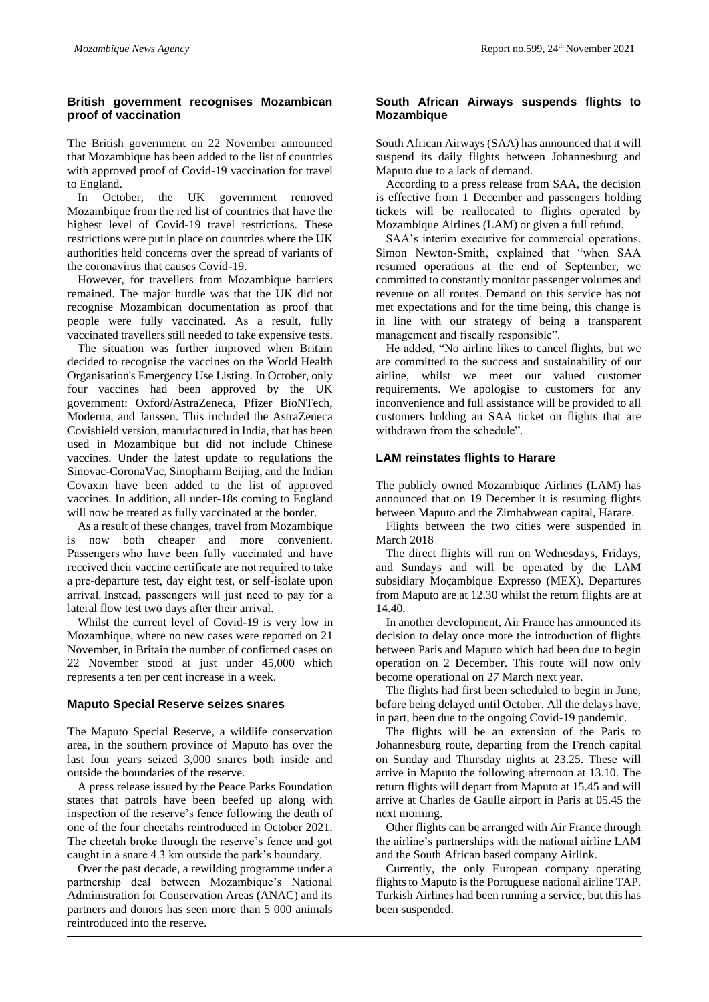# **British government recognises Mozambican proof of vaccination**

The British government on 22 November announced that Mozambique has been added to the list of countries with approved proof of Covid-19 vaccination for travel to England.

In October, the UK government removed Mozambique from the red list of countries that have the highest level of Covid-19 travel restrictions. These restrictions were put in place on countries where the UK authorities held concerns over the spread of variants of the coronavirus that causes Covid-19.

However, for travellers from Mozambique barriers remained. The major hurdle was that the UK did not recognise Mozambican documentation as proof that people were fully vaccinated. As a result, fully vaccinated travellers still needed to take expensive tests.

The situation was further improved when Britain decided to recognise the vaccines on the World Health Organisation's Emergency Use Listing. In October, only four vaccines had been approved by the UK government: Oxford/AstraZeneca, Pfizer BioNTech, Moderna, and Janssen. This included the AstraZeneca Covishield version, manufactured in India, that has been used in Mozambique but did not include Chinese vaccines. Under the latest update to regulations the Sinovac-CoronaVac, Sinopharm Beijing, and the Indian Covaxin have been added to the list of approved vaccines. In addition, all under-18s coming to England will now be treated as fully vaccinated at the border.

As a result of these changes, travel from Mozambique is now both cheaper and more convenient. Passengers who have been fully vaccinated and have received their vaccine certificate are not required to take a pre-departure test, day eight test, or self-isolate upon arrival. Instead, passengers will just need to pay for a lateral flow test two days after their arrival.

Whilst the current level of Covid-19 is very low in Mozambique, where no new cases were reported on 21 November, in Britain the number of confirmed cases on 22 November stood at just under 45,000 which represents a ten per cent increase in a week.

#### **Maputo Special Reserve seizes snares**

The Maputo Special Reserve, a wildlife conservation area, in the southern province of Maputo has over the last four years seized 3,000 snares both inside and outside the boundaries of the reserve.

A press release issued by the Peace Parks Foundation states that patrols have been beefed up along with inspection of the reserve's fence following the death of one of the four cheetahs reintroduced in October 2021. The cheetah broke through the reserve's fence and got caught in a snare 4.3 km outside the park's boundary.

Over the past decade, a rewilding programme under a partnership deal between Mozambique's National Administration for Conservation Areas (ANAC) and its partners and donors has seen more than 5 000 animals reintroduced into the reserve.

#### **South African Airways suspends flights to Mozambique**

South African Airways (SAA) has announced that it will suspend its daily flights between Johannesburg and Maputo due to a lack of demand.

According to a press release from SAA, the decision is effective from 1 December and passengers holding tickets will be reallocated to flights operated by Mozambique Airlines (LAM) or given a full refund.

SAA's interim executive for commercial operations, Simon Newton-Smith, explained that "when SAA resumed operations at the end of September, we committed to constantly monitor passenger volumes and revenue on all routes. Demand on this service has not met expectations and for the time being, this change is in line with our strategy of being a transparent management and fiscally responsible".

He added, "No airline likes to cancel flights, but we are committed to the success and sustainability of our airline, whilst we meet our valued customer requirements. We apologise to customers for any inconvenience and full assistance will be provided to all customers holding an SAA ticket on flights that are withdrawn from the schedule".

# **LAM reinstates flights to Harare**

The publicly owned Mozambique Airlines (LAM) has announced that on 19 December it is resuming flights between Maputo and the Zimbabwean capital, Harare.

Flights between the two cities were suspended in March 2018

The direct flights will run on Wednesdays, Fridays, and Sundays and will be operated by the LAM subsidiary Moçambique Expresso (MEX). Departures from Maputo are at 12.30 whilst the return flights are at 14.40.

In another development, Air France has announced its decision to delay once more the introduction of flights between Paris and Maputo which had been due to begin operation on 2 December. This route will now only become operational on 27 March next year.

The flights had first been scheduled to begin in June, before being delayed until October. All the delays have, in part, been due to the ongoing Covid-19 pandemic.

The flights will be an extension of the Paris to Johannesburg route, departing from the French capital on Sunday and Thursday nights at 23.25. These will arrive in Maputo the following afternoon at 13.10. The return flights will depart from Maputo at 15.45 and will arrive at Charles de Gaulle airport in Paris at 05.45 the next morning.

Other flights can be arranged with Air France through the airline's partnerships with the national airline LAM and the South African based company Airlink.

Currently, the only European company operating flights to Maputo is the Portuguese national airline TAP. Turkish Airlines had been running a service, but this has been suspended.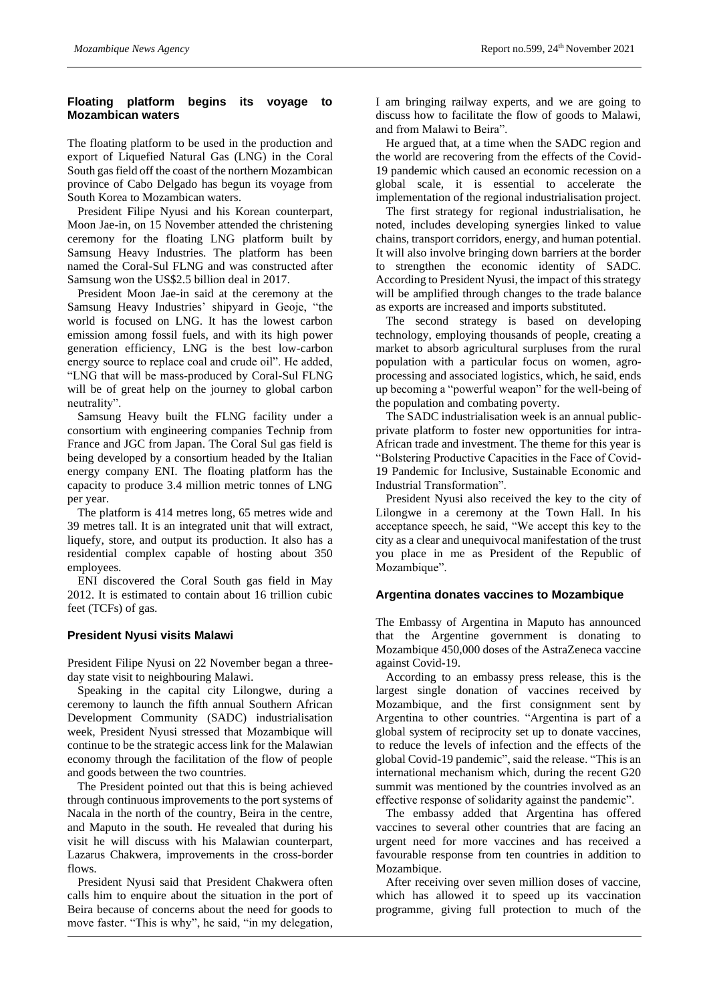# **Floating platform begins its voyage to Mozambican waters**

The floating platform to be used in the production and export of Liquefied Natural Gas (LNG) in the Coral South gas field off the coast of the northern Mozambican province of Cabo Delgado has begun its voyage from South Korea to Mozambican waters.

President Filipe Nyusi and his Korean counterpart, Moon Jae-in, on 15 November attended the christening ceremony for the floating LNG platform built by Samsung Heavy Industries. The platform has been named the Coral-Sul FLNG and was constructed after Samsung won the US\$2.5 billion deal in 2017.

President Moon Jae-in said at the ceremony at the Samsung Heavy Industries' shipyard in Geoje, "the world is focused on LNG. It has the lowest carbon emission among fossil fuels, and with its high power generation efficiency, LNG is the best low-carbon energy source to replace coal and crude oil". He added, "LNG that will be mass-produced by Coral-Sul FLNG will be of great help on the journey to global carbon neutrality".

Samsung Heavy built the FLNG facility under a consortium with engineering companies Technip from France and JGC from Japan. The Coral Sul gas field is being developed by a consortium headed by the Italian energy company ENI. The floating platform has the capacity to produce 3.4 million metric tonnes of LNG per year.

The platform is 414 metres long, 65 metres wide and 39 metres tall. It is an integrated unit that will extract, liquefy, store, and output its production. It also has a residential complex capable of hosting about 350 employees.

ENI discovered the Coral South gas field in May 2012. It is estimated to contain about 16 trillion cubic feet (TCFs) of gas.

# **President Nyusi visits Malawi**

President Filipe Nyusi on 22 November began a threeday state visit to neighbouring Malawi.

Speaking in the capital city Lilongwe, during a ceremony to launch the fifth annual Southern African Development Community (SADC) industrialisation week, President Nyusi stressed that Mozambique will continue to be the strategic access link for the Malawian economy through the facilitation of the flow of people and goods between the two countries.

The President pointed out that this is being achieved through continuous improvements to the port systems of Nacala in the north of the country, Beira in the centre, and Maputo in the south. He revealed that during his visit he will discuss with his Malawian counterpart, Lazarus Chakwera, improvements in the cross-border flows.

President Nyusi said that President Chakwera often calls him to enquire about the situation in the port of Beira because of concerns about the need for goods to move faster. "This is why", he said, "in my delegation,

I am bringing railway experts, and we are going to discuss how to facilitate the flow of goods to Malawi, and from Malawi to Beira".

He argued that, at a time when the SADC region and the world are recovering from the effects of the Covid-19 pandemic which caused an economic recession on a global scale, it is essential to accelerate the implementation of the regional industrialisation project.

The first strategy for regional industrialisation, he noted, includes developing synergies linked to value chains, transport corridors, energy, and human potential. It will also involve bringing down barriers at the border to strengthen the economic identity of SADC. According to President Nyusi, the impact of this strategy will be amplified through changes to the trade balance as exports are increased and imports substituted.

The second strategy is based on developing technology, employing thousands of people, creating a market to absorb agricultural surpluses from the rural population with a particular focus on women, agroprocessing and associated logistics, which, he said, ends up becoming a "powerful weapon" for the well-being of the population and combating poverty.

The SADC industrialisation week is an annual publicprivate platform to foster new opportunities for intra-African trade and investment. The theme for this year is "Bolstering Productive Capacities in the Face of Covid-19 Pandemic for Inclusive, Sustainable Economic and Industrial Transformation".

President Nyusi also received the key to the city of Lilongwe in a ceremony at the Town Hall. In his acceptance speech, he said, "We accept this key to the city as a clear and unequivocal manifestation of the trust you place in me as President of the Republic of Mozambique".

#### **Argentina donates vaccines to Mozambique**

The Embassy of Argentina in Maputo has announced that the Argentine government is donating to Mozambique 450,000 doses of the AstraZeneca vaccine against Covid-19.

According to an embassy press release, this is the largest single donation of vaccines received by Mozambique, and the first consignment sent by Argentina to other countries. "Argentina is part of a global system of reciprocity set up to donate vaccines, to reduce the levels of infection and the effects of the global Covid-19 pandemic", said the release. "This is an international mechanism which, during the recent G20 summit was mentioned by the countries involved as an effective response of solidarity against the pandemic".

The embassy added that Argentina has offered vaccines to several other countries that are facing an urgent need for more vaccines and has received a favourable response from ten countries in addition to Mozambique.

After receiving over seven million doses of vaccine, which has allowed it to speed up its vaccination programme, giving full protection to much of the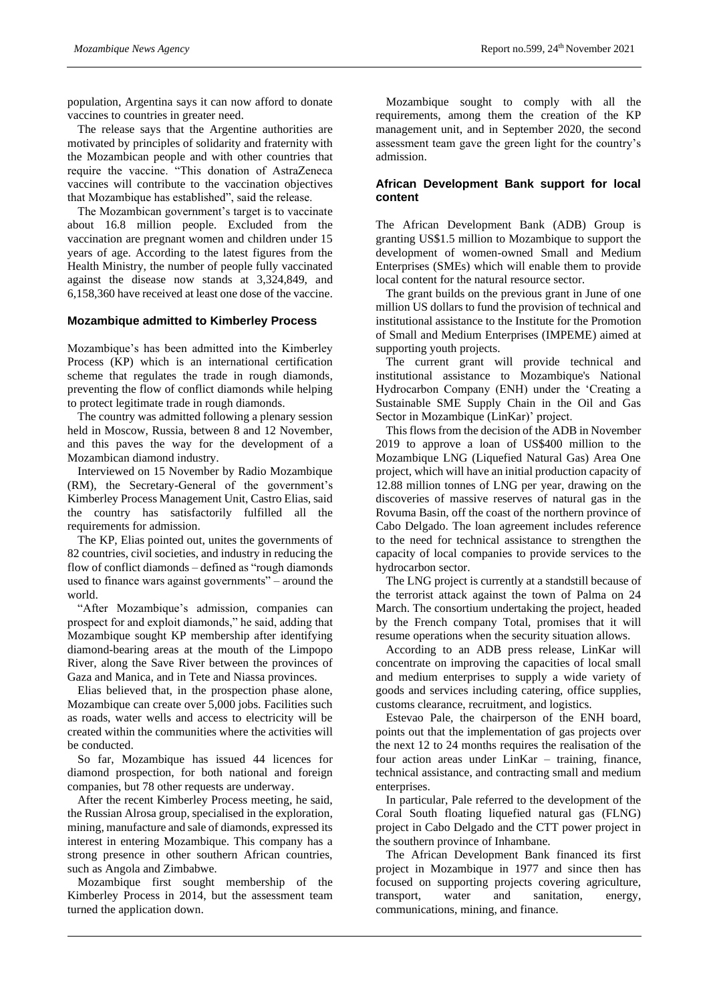population, Argentina says it can now afford to donate vaccines to countries in greater need.

The release says that the Argentine authorities are motivated by principles of solidarity and fraternity with the Mozambican people and with other countries that require the vaccine. "This donation of AstraZeneca vaccines will contribute to the vaccination objectives that Mozambique has established", said the release.

The Mozambican government's target is to vaccinate about 16.8 million people. Excluded from the vaccination are pregnant women and children under 15 years of age. According to the latest figures from the Health Ministry, the number of people fully vaccinated against the disease now stands at 3,324,849, and 6,158,360 have received at least one dose of the vaccine.

#### **Mozambique admitted to Kimberley Process**

Mozambique's has been admitted into the Kimberley Process (KP) which is an international certification scheme that regulates the trade in rough diamonds, preventing the flow of conflict diamonds while helping to protect legitimate trade in rough diamonds.

The country was admitted following a plenary session held in Moscow, Russia, between 8 and 12 November, and this paves the way for the development of a Mozambican diamond industry.

Interviewed on 15 November by Radio Mozambique (RM), the Secretary-General of the government's Kimberley Process Management Unit, Castro Elias, said the country has satisfactorily fulfilled all the requirements for admission.

The KP, Elias pointed out, unites the governments of 82 countries, civil societies, and industry in reducing the flow of conflict diamonds – defined as "rough diamonds used to finance wars against governments" – around the world.

"After Mozambique's admission, companies can prospect for and exploit diamonds," he said, adding that Mozambique sought KP membership after identifying diamond-bearing areas at the mouth of the Limpopo River, along the Save River between the provinces of Gaza and Manica, and in Tete and Niassa provinces.

Elias believed that, in the prospection phase alone, Mozambique can create over 5,000 jobs. Facilities such as roads, water wells and access to electricity will be created within the communities where the activities will be conducted.

So far, Mozambique has issued 44 licences for diamond prospection, for both national and foreign companies, but 78 other requests are underway.

After the recent Kimberley Process meeting, he said, the Russian Alrosa group, specialised in the exploration, mining, manufacture and sale of diamonds, expressed its interest in entering Mozambique. This company has a strong presence in other southern African countries, such as Angola and Zimbabwe.

Mozambique first sought membership of the Kimberley Process in 2014, but the assessment team turned the application down.

Mozambique sought to comply with all the requirements, among them the creation of the KP management unit, and in September 2020, the second assessment team gave the green light for the country's admission.

#### **African Development Bank support for local content**

The African Development Bank (ADB) Group is granting US\$1.5 million to Mozambique to support the development of women-owned Small and Medium Enterprises (SMEs) which will enable them to provide local content for the natural resource sector.

The grant builds on the previous grant in June of one million US dollars to fund the provision of technical and institutional assistance to the Institute for the Promotion of Small and Medium Enterprises (IMPEME) aimed at supporting youth projects.

The current grant will provide technical and institutional assistance to Mozambique's National Hydrocarbon Company (ENH) under the 'Creating a Sustainable SME Supply Chain in the Oil and Gas Sector in Mozambique (LinKar)' project.

This flows from the decision of the ADB in November 2019 to approve a loan of US\$400 million to the Mozambique LNG (Liquefied Natural Gas) Area One project, which will have an initial production capacity of 12.88 million tonnes of LNG per year, drawing on the discoveries of massive reserves of natural gas in the Rovuma Basin, off the coast of the northern province of Cabo Delgado. The loan agreement includes reference to the need for technical assistance to strengthen the capacity of local companies to provide services to the hydrocarbon sector.

The LNG project is currently at a standstill because of the terrorist attack against the town of Palma on 24 March. The consortium undertaking the project, headed by the French company Total, promises that it will resume operations when the security situation allows.

According to an ADB press release, LinKar will concentrate on improving the capacities of local small and medium enterprises to supply a wide variety of goods and services including catering, office supplies, customs clearance, recruitment, and logistics.

Estevao Pale, the chairperson of the ENH board, points out that the implementation of gas projects over the next 12 to 24 months requires the realisation of the four action areas under LinKar – training, finance, technical assistance, and contracting small and medium enterprises.

In particular, Pale referred to the development of the Coral South floating liquefied natural gas (FLNG) project in Cabo Delgado and the CTT power project in the southern province of Inhambane.

The African Development Bank financed its first project in Mozambique in 1977 and since then has focused on supporting projects covering agriculture, transport, water and sanitation, energy, communications, mining, and finance.